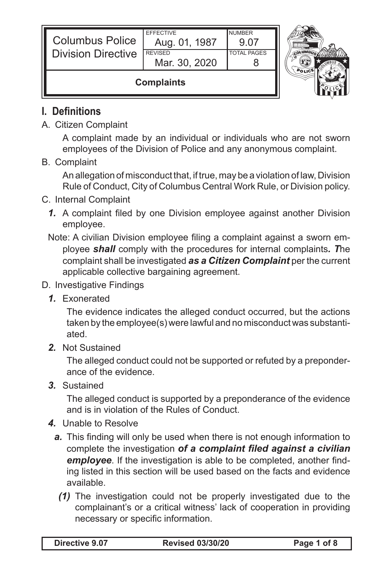| <b>Columbus Police</b><br><b>Division Directive</b> | <b>FFFFCTIVE</b><br>Aug. 01, 1987<br><b>REVISED</b><br>Mar. 30, 2020 | <b>NUMBER</b><br>9.07<br><b>TOTAL PAGES</b> |  |
|-----------------------------------------------------|----------------------------------------------------------------------|---------------------------------------------|--|
| <b>Complaints</b>                                   |                                                                      |                                             |  |

## **I. Definitions**

A. Citizen Complaint

A complaint made by an individual or individuals who are not sworn employees of the Division of Police and any anonymous complaint.

B. Complaint

An allegation of misconduct that, if true, may be a violation of law, Division Rule of Conduct, City of Columbus Central Work Rule, or Division policy.

- C. Internal Complaint
	- **1.** A complaint filed by one Division employee against another Division employee.
	- Note: A civilian Division employee filing a complaint against a sworn employee *shall* comply with the procedures for internal complaints*. T*he complaint shall be investigated *as a Citizen Complaint* per the current applicable collective bargaining agreement.
- D. Investigative Findings
	- *1.* Exonerated

The evidence indicates the alleged conduct occurred, but the actions taken by the employee(s) were lawful and no misconduct was substantiated.

*2.* Not Sustained

The alleged conduct could not be supported or refuted by a preponderance of the evidence.

*3.* Sustained

The alleged conduct is supported by a preponderance of the evidence and is in violation of the Rules of Conduct.

- *4.* Unable to Resolve
	- **a.** This finding will only be used when there is not enough information to complete the investigation *of a complaint filed against a civilian employee*. If the investigation is able to be completed, another finding listed in this section will be used based on the facts and evidence available.
		- *(1)* The investigation could not be properly investigated due to the complainant's or a critical witness' lack of cooperation in providing necessary or specific information.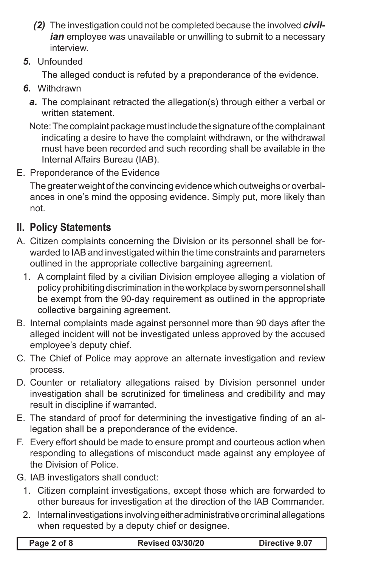- *(2)* The investigation could not be completed because the involved *civil*ian employee was unavailable or unwilling to submit to a necessary interview.
- *5.* Unfounded

The alleged conduct is refuted by a preponderance of the evidence.

- *6.* Withdrawn
	- *a.* The complainant retracted the allegation(s) through either a verbal or written statement.
	- Note: The complaint package must include the signature of the complainant indicating a desire to have the complaint withdrawn, or the withdrawal must have been recorded and such recording shall be available in the Internal Affairs Bureau (IAB).
- E. Preponderance of the Evidence

The greater weight of the convincing evidence which outweighs or overbalances in one's mind the opposing evidence. Simply put, more likely than not.

## **II. Policy Statements**

- A. Citizen complaints concerning the Division or its personnel shall be forwarded to IAB and investigated within the time constraints and parameters outlined in the appropriate collective bargaining agreement.
	- 1. A complaint filed by a civilian Division employee alleging a violation of policy prohibiting discrimination in the workplace by sworn personnel shall be exempt from the 90-day requirement as outlined in the appropriate collective bargaining agreement.
- B. Internal complaints made against personnel more than 90 days after the alleged incident will not be investigated unless approved by the accused employee's deputy chief.
- C. The Chief of Police may approve an alternate investigation and review process.
- D. Counter or retaliatory allegations raised by Division personnel under investigation shall be scrutinized for timeliness and credibility and may result in discipline if warranted.
- E. The standard of proof for determining the investigative finding of an allegation shall be a preponderance of the evidence.
- F. Every effort should be made to ensure prompt and courteous action when responding to allegations of misconduct made against any employee of the Division of Police.
- G. IAB investigators shall conduct:
	- 1. Citizen complaint investigations, except those which are forwarded to other bureaus for investigation at the direction of the IAB Commander.
	- 2. Internal investigations involving either administrative or criminal allegations when requested by a deputy chief or designee.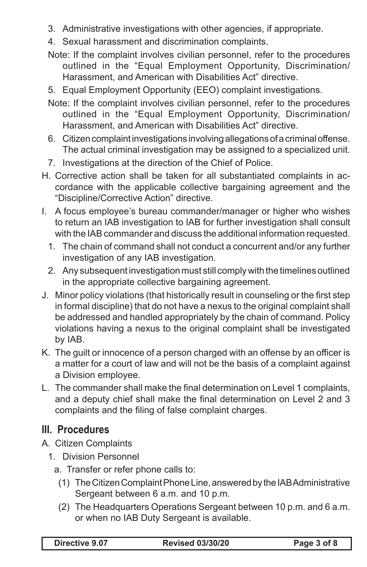- 3. Administrative investigations with other agencies, if appropriate.
- 4. Sexual harassment and discrimination complaints.
- Note: If the complaint involves civilian personnel, refer to the procedures outlined in the "Equal Employment Opportunity, Discrimination/ Harassment, and American with Disabilities Act" directive.
- 5. Equal Employment Opportunity (EEO) complaint investigations.
- Note: If the complaint involves civilian personnel, refer to the procedures outlined in the "Equal Employment Opportunity, Discrimination/ Harassment, and American with Disabilities Act" directive.
- 6. Citizen complaint investigations involving allegations of a criminal offense. The actual criminal investigation may be assigned to a specialized unit.
- 7. Investigations at the direction of the Chief of Police.
- H. Corrective action shall be taken for all substantiated complaints in accordance with the applicable collective bargaining agreement and the "Discipline/Corrective Action" directive.
- I. A focus employee's bureau commander/manager or higher who wishes to return an IAB investigation to IAB for further investigation shall consult with the IAB commander and discuss the additional information requested.
	- 1. The chain of command shall not conduct a concurrent and/or any further investigation of any IAB investigation.
	- 2. Any subsequent investigation must still comply with the timelines outlined in the appropriate collective bargaining agreement.
- J. Minor policy violations (that historically result in counseling or the first step in formal discipline) that do not have a nexus to the original complaint shall be addressed and handled appropriately by the chain of command. Policy violations having a nexus to the original complaint shall be investigated by IAB.
- K. The guilt or innocence of a person charged with an offense by an officer is a matter for a court of law and will not be the basis of a complaint against a Division employee.
- L. The commander shall make the final determination on Level 1 complaints, and a deputy chief shall make the final determination on Level 2 and 3 complaints and the filing of false complaint charges.

## **III. Procedures**

- A. Citizen Complaints
	- 1. Division Personnel
		- a. Transfer or refer phone calls to:
			- (1) The Citizen Complaint Phone Line, answered by the IAB Administrative Sergeant between 6 a.m. and 10 p.m.
			- (2) The Headquarters Operations Sergeant between 10 p.m. and 6 a.m. or when no IAB Duty Sergeant is available.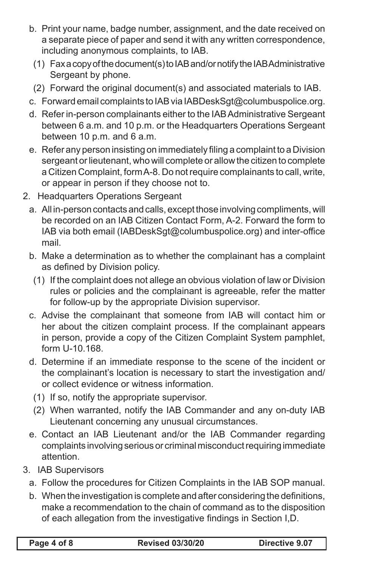- b. Print your name, badge number, assignment, and the date received on a separate piece of paper and send it with any written correspondence, including anonymous complaints, to IAB.
- (1) Fax a copy of the document(s) to IAB and/or notify the IAB Administrative Sergeant by phone.
- (2) Forward the original document(s) and associated materials to IAB.
- c. Forward email complaints to IAB via IABDeskSgt@columbuspolice.org.
- d. Refer in-person complainants either to the IAB Administrative Sergeant between 6 a.m. and 10 p.m. or the Headquarters Operations Sergeant between 10 p.m. and 6 a.m.
- e. Refer any person insisting on immediately filing a complaint to a Division sergeant or lieutenant, who will complete or allow the citizen to complete a Citizen Complaint, form A-8. Do not require complainants to call, write, or appear in person if they choose not to.
- 2. Headquarters Operations Sergeant
	- a. All in-person contacts and calls, except those involving compliments, will be recorded on an IAB Citizen Contact Form, A-2. Forward the form to IAB via both email (IABDeskSgt@columbuspolice.org) and inter-office mail.
	- b. Make a determination as to whether the complainant has a complaint as defined by Division policy.
	- (1) If the complaint does not allege an obvious violation of law or Division rules or policies and the complainant is agreeable, refer the matter for follow-up by the appropriate Division supervisor.
	- c. Advise the complainant that someone from IAB will contact him or her about the citizen complaint process. If the complainant appears in person, provide a copy of the Citizen Complaint System pamphlet, form U-10.168.
	- d. Determine if an immediate response to the scene of the incident or the complainant's location is necessary to start the investigation and/ or collect evidence or witness information.
		- (1) If so, notify the appropriate supervisor.
		- (2) When warranted, notify the IAB Commander and any on-duty IAB Lieutenant concerning any unusual circumstances.
	- e. Contact an IAB Lieutenant and/or the IAB Commander regarding complaints involving serious or criminal misconduct requiring immediate attention.
- 3. IAB Supervisors
	- a. Follow the procedures for Citizen Complaints in the IAB SOP manual.
	- b. When the investigation is complete and after considering the definitions, make a recommendation to the chain of command as to the disposition of each allegation from the investigative findings in Section I,D.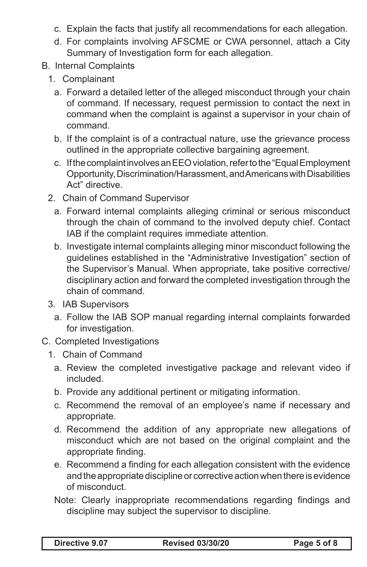- c. Explain the facts that justify all recommendations for each allegation.
- d. For complaints involving AFSCME or CWA personnel, attach a City Summary of Investigation form for each allegation.
- B. Internal Complaints
	- 1. Complainant
		- a. Forward a detailed letter of the alleged misconduct through your chain of command. If necessary, request permission to contact the next in command when the complaint is against a supervisor in your chain of command.
		- b. If the complaint is of a contractual nature, use the grievance process outlined in the appropriate collective bargaining agreement.
		- c. If the complaint involves an EEO violation, refer to the "Equal Employment Opportunity, Discrimination/Harassment, and Americans with Disabilities Act" directive.
	- 2. Chain of Command Supervisor
		- a. Forward internal complaints alleging criminal or serious misconduct through the chain of command to the involved deputy chief. Contact IAB if the complaint requires immediate attention.
		- b. Investigate internal complaints alleging minor misconduct following the guidelines established in the "Administrative Investigation" section of the Supervisor's Manual. When appropriate, take positive corrective/ disciplinary action and forward the completed investigation through the chain of command.
	- 3. IAB Supervisors
		- a. Follow the IAB SOP manual regarding internal complaints forwarded for investigation.
- C. Completed Investigations
	- 1. Chain of Command
		- a. Review the completed investigative package and relevant video if included.
		- b. Provide any additional pertinent or mitigating information.
		- c. Recommend the removal of an employee's name if necessary and appropriate.
		- d. Recommend the addition of any appropriate new allegations of misconduct which are not based on the original complaint and the appropriate finding.
		- e. Recommend a finding for each allegation consistent with the evidence and the appropriate discipline or corrective action when there is evidence of misconduct.
		- Note: Clearly inappropriate recommendations regarding findings and discipline may subject the supervisor to discipline.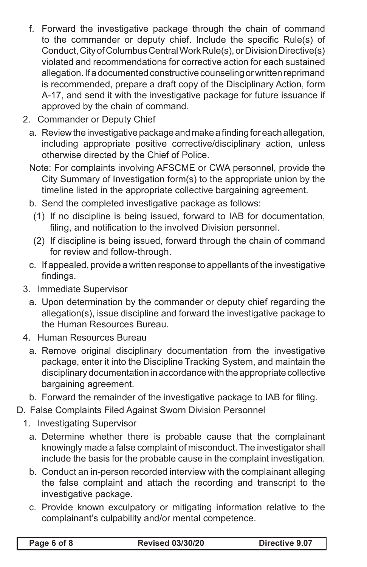- f. Forward the investigative package through the chain of command to the commander or deputy chief. Include the specific Rule(s) of Conduct, City of Columbus Central Work Rule(s), or Division Directive(s) violated and recommendations for corrective action for each sustained allegation. If a documented constructive counseling or written reprimand is recommended, prepare a draft copy of the Disciplinary Action, form A-17, and send it with the investigative package for future issuance if approved by the chain of command.
- 2. Commander or Deputy Chief
	- a. Review the investigative package and make a finding for each allegation, including appropriate positive corrective/disciplinary action, unless otherwise directed by the Chief of Police.
	- Note: For complaints involving AFSCME or CWA personnel, provide the City Summary of Investigation form(s) to the appropriate union by the timeline listed in the appropriate collective bargaining agreement.
	- b. Send the completed investigative package as follows:
		- (1) If no discipline is being issued, forward to IAB for documentation, filing, and notification to the involved Division personnel.
		- (2) If discipline is being issued, forward through the chain of command for review and follow-through.
	- c. If appealed, provide a written response to appellants of the investigative findings.
- 3. Immediate Supervisor
	- a. Upon determination by the commander or deputy chief regarding the allegation(s), issue discipline and forward the investigative package to the Human Resources Bureau.
- 4. Human Resources Bureau
	- a. Remove original disciplinary documentation from the investigative package, enter it into the Discipline Tracking System, and maintain the disciplinary documentation in accordance with the appropriate collective bargaining agreement.
	- b. Forward the remainder of the investigative package to IAB for filing.
- D. False Complaints Filed Against Sworn Division Personnel
	- 1. Investigating Supervisor
		- a. Determine whether there is probable cause that the complainant knowingly made a false complaint of misconduct. The investigator shall include the basis for the probable cause in the complaint investigation.
		- b. Conduct an in-person recorded interview with the complainant alleging the false complaint and attach the recording and transcript to the investigative package.
		- c. Provide known exculpatory or mitigating information relative to the complainant's culpability and/or mental competence.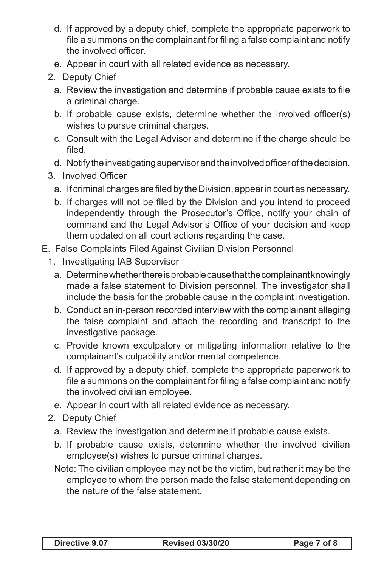- d. If approved by a deputy chief, complete the appropriate paperwork to file a summons on the complainant for filing a false complaint and notify the involved officer.
- e. Appear in court with all related evidence as necessary.
- 2. Deputy Chief
	- a. Review the investigation and determine if probable cause exists to file a criminal charge.
	- b. If probable cause exists, determine whether the involved officer(s) wishes to pursue criminal charges.
	- c. Consult with the Legal Advisor and determine if the charge should be filed.
	- d. Notify the investigating supervisor and the involved officer of the decision.
- 3. Involved Officer
	- a. If criminal charges are filed by the Division, appear in court as necessary.
	- b. If charges will not be filed by the Division and you intend to proceed independently through the Prosecutor's Office, notify your chain of command and the Legal Advisor's Office of your decision and keep them updated on all court actions regarding the case.
- E. False Complaints Filed Against Civilian Division Personnel
	- 1. Investigating IAB Supervisor
		- a. Determine whether there is probable cause that the complainant knowingly made a false statement to Division personnel. The investigator shall include the basis for the probable cause in the complaint investigation.
		- b. Conduct an in-person recorded interview with the complainant alleging the false complaint and attach the recording and transcript to the investigative package.
		- c. Provide known exculpatory or mitigating information relative to the complainant's culpability and/or mental competence.
		- d. If approved by a deputy chief, complete the appropriate paperwork to file a summons on the complainant for filing a false complaint and notify the involved civilian employee.
		- e. Appear in court with all related evidence as necessary.
	- 2. Deputy Chief
		- a. Review the investigation and determine if probable cause exists.
		- b. If probable cause exists, determine whether the involved civilian employee(s) wishes to pursue criminal charges.
		- Note: The civilian employee may not be the victim, but rather it may be the employee to whom the person made the false statement depending on the nature of the false statement.